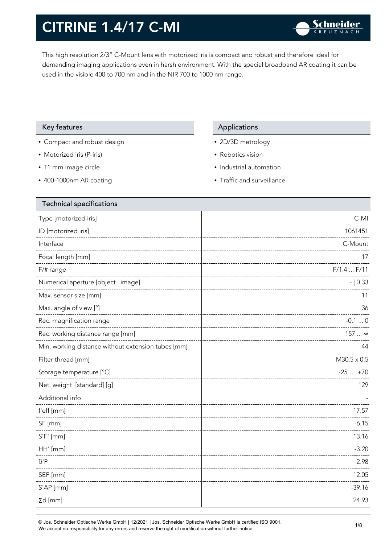This high resolution 2/3" C-Mount lens with motorized iris is compact and robust and therefore ideal for demanding imaging applications even in harsh environment. With the special broadband AR coating it can be used in the visible 400 to 700 nm and in the NIR 700 to 1000 nm range.

#### Key features **Applications** Applications

- Compact and robust design
- Motorized iris (P-iris)
- 11 mm image circle
- 400-1000nm AR coating

- 2D/3D metrology
- Robotics vision
- Industrial automation
- Traffic and surveillance

| <b>Technical specifications</b>                    |                    |
|----------------------------------------------------|--------------------|
| Type [motorized iris]                              | C-MI               |
| ID [motorized iris]                                | 1061451            |
| Interface                                          | C-Mount            |
| Focal length [mm]                                  | 17                 |
| F/# range                                          | $F/1.4$ $F/11$     |
| Numerical aperture [object   image]                | $- 0.33$           |
| Max. sensor size [mm]                              | 11                 |
| Max. angle of view [°]                             | 36                 |
| Rec. magnification range                           | $-0.10$            |
| Rec. working distance range [mm]                   | 157  ∞             |
| Min. working distance without extension tubes [mm] | 44                 |
| Filter thread [mm]                                 | $M30.5 \times 0.5$ |
| Storage temperature [°C]                           | $-25+70$           |
| Net. weight [standard] [g]                         | 129                |
| Additional info                                    |                    |
| f'eff [mm]                                         | 17.57              |
| SF [mm]                                            | $-6.15$            |
| $S'F'$ [mm]                                        | 13.16              |
| HH' [mm]                                           | $-3.20$            |
| $\beta'$ P                                         | 2.98               |
| SEP [mm]                                           | 12.05              |
| S'AP [mm]                                          | $-39.16$           |
| $\Sigma d$ [mm]                                    | 24.93              |
|                                                    |                    |

© Jos. Schneider Optische Werke GmbH | 12/2021 | Jos. Schneider Optische Werke GmbH is certified ISO 9001. We accept no responsibility for any errors and reserve the right of modification without further notice.<br>We accept no responsibility for any errors and reserve the right of modification without further notice.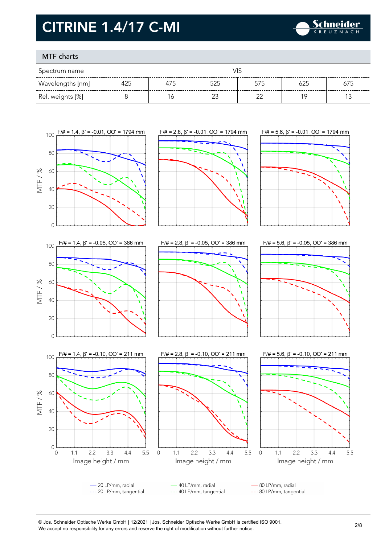

### MTF charts

| Spectrum name    |     |     |        |        |     |     |
|------------------|-----|-----|--------|--------|-----|-----|
| Wavelengths [nm] | 425 | 475 | 525    | 575    | 625 | 675 |
| Rel. weights [%] |     | 6   | $\sim$ | $\sim$ | 1 C |     |



© Jos. Schneider Optische Werke GmbH | 12/2021 | Jos. Schneider Optische Werke GmbH is certified ISO 9001. We accept no responsibility for any errors and reserve the right of modification without further notice.<br>We accept no responsibility for any errors and reserve the right of modification without further notice.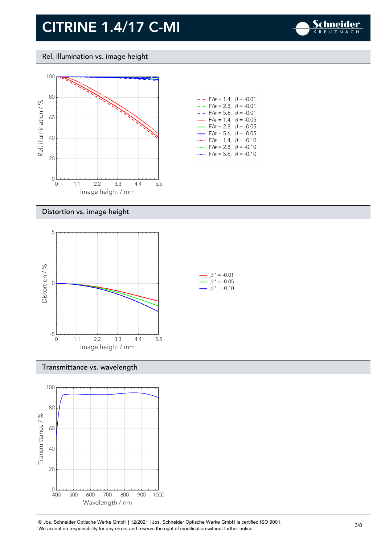

#### Rel. illumination vs. image height



| $- -$ F/# = 1.4, $\beta$ = -0.01         |  |
|------------------------------------------|--|
| $-$ - F/# = 2.8, $\beta$ = -0.01         |  |
| $- -$ F/# = 5.6, $\beta$ = -0.01         |  |
| $\rightarrow$ F/# = 1.4, $\beta$ = -0.05 |  |
| $\rightarrow$ F/# = 2.8, $\beta$ = -0.05 |  |
| $\rightarrow$ F/# = 5.6, $\beta$ = -0.05 |  |
| F/# = 1.4, $\beta$ = -0.10               |  |
| F/# = 2.8, $\beta$ = -0.10               |  |
| $F/\ddot{=} = 5.6$ , $\beta = -0.10$     |  |

#### Distortion vs. image height



#### Transmittance vs. wavelength



© Jos. Schneider Optische Werke GmbH | 12/2021 | Jos. Schneider Optische Werke GmbH is certified ISO 9001. We Jos. Scrinelaer Opuscrie werke GribH | 12/2021 | Jos. Scrinelaer Opuscrie werke GribH is certified ISO 9001.<br>We accept no responsibility for any errors and reserve the right of modification without further notice.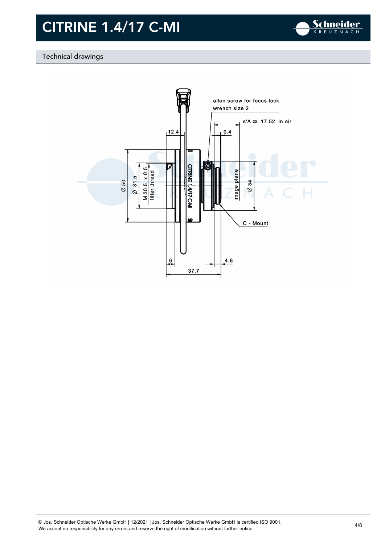

### Technical drawings

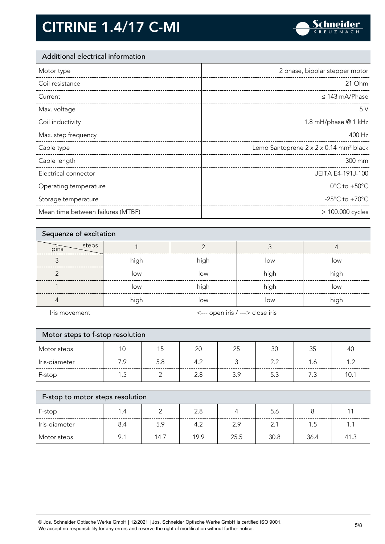

### Additional electrical information

| Motor type            | 2 phase, bipolar stepper motor                     |
|-----------------------|----------------------------------------------------|
| Coil resistance       | 21 Ohm                                             |
| Current               | $\leq$ 143 mA/Phase                                |
| Max. voltage          | 5V                                                 |
| Coil inductivity      | 1.8 mH/phase @ 1 kHz                               |
| Max. step frequency   | 400 Hz                                             |
|                       |                                                    |
| Cable type            | Lemo Santoprene 2 x 2 x 0.14 mm <sup>2</sup> black |
| Cable length          | 300 mm                                             |
| Electrical connector  | JEITA E4-191J-100                                  |
| Operating temperature | $0^{\circ}$ C to +50 $^{\circ}$ C                  |
| Storage temperature   | -25 $^{\circ}$ C to +70 $^{\circ}$ C               |

| Sequenze of excitation |      |                                  |      |      |  |
|------------------------|------|----------------------------------|------|------|--|
| steps<br>pins          |      |                                  |      |      |  |
|                        | high | high                             | low  | low  |  |
| ◠                      | low  | low                              | high | high |  |
|                        | low  | high                             | high | low  |  |
|                        | high | low                              | low  | high |  |
| Iris movement          |      | <--- open iris / ---> close iris |      |      |  |

| Motor steps to f-stop resolution |     |     |     |     |     |     |      |
|----------------------------------|-----|-----|-----|-----|-----|-----|------|
| Motor steps                      | 10  | 15  | 20  | 25  | 30  | 35  | 40   |
| Iris-diameter                    | 7.9 | 5.8 | 4.2 | 3   | 2.2 | 1.6 | 1.2  |
| F-stop                           | 1.5 |     | 2.8 | 3.9 | 5.3 | 7.3 | 10.1 |
| F-stop to motor steps resolution |     |     |     |     |     |     |      |

| F-stop        |     |      | 2.8  |      | 5.6  |      |      |
|---------------|-----|------|------|------|------|------|------|
| Iris-diameter | 8.4 | 5.9  | 4.2  | 2.9  |      | ں .  |      |
| Motor steps   |     | 14.7 | 19.9 | 25.5 | 30.8 | 36.4 | 41.3 |

© Jos. Schneider Optische Werke GmbH | 12/2021 | Jos. Schneider Optische Werke GmbH is certified ISO 9001. We accept no responsibility for any errors and reserve the right of modification without further notice. 5/8<br>We accept no responsibility for any errors and reserve the right of modification without further notice.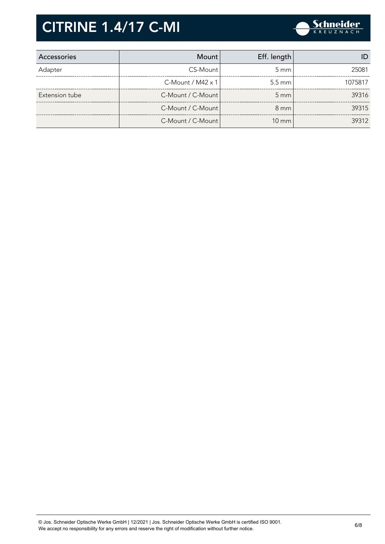

| Accessories    | Mount                | Eff. length      |         |
|----------------|----------------------|------------------|---------|
| Adapter        | CS-Mount             | $5 \text{ mm}$   | 25081   |
|                | $C-M$ ount / M42 x 1 | $5.5 \text{ mm}$ | 1075817 |
| Extension tube | C-Mount / C-Mount    | $5 \text{ mm}$   | 39316   |
|                | C-Mount / C-Mount    | $8 \text{ mm}$   | 39315   |
|                | C-Mount / C-Mount    | $10 \text{ mm}$  | 39312   |